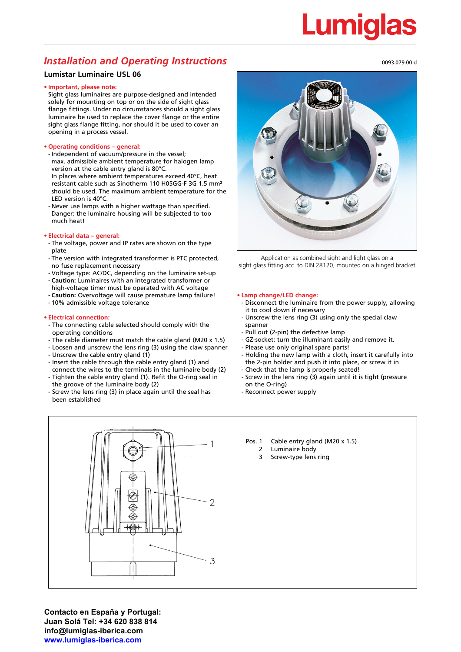### *Installation and Operating Instructions*

### **Lumistar Luminaire USL 06**

### **• Important, please note:**

Sight glass luminaires are purpose-designed and intended solely for mounting on top or on the side of sight glass flange fittings. Under no circumstances should a sight glass luminaire be used to replace the cover flange or the entire sight glass flange fitting, nor should it be used to cover an opening in a process vessel.

### **• Operating conditions – general:**

- Independent of vacuum/pressure in the vessel; max. admissible ambient temperature for halogen lamp version at the cable entry gland is 80°C. In places where ambient temperatures exceed 40°C, heat resistant cable such as Sinotherm 110 H05GG-F 3G 1.5 mm²
- should be used. The maximum ambient temperature for the LED version is 40°C.
- Never use lamps with a higher wattage than specified. Danger: the luminaire housing will be subjected to too much heat!

### **• Electrical data – general:**

- The voltage, power and IP rates are shown on the type plate
- The version with integrated transformer is PTC protected, no fuse replacement necessary
- Voltage type: AC/DC, depending on the luminaire set-up
- **- Caution:** Luminaires with an integrated transformer or high-voltage timer must be operated with AC voltage
- **- Caution:** Overvoltage will cause premature lamp failure! - 10% admissible voltage tolerance

### **• Electrical connection:**

- The connecting cable selected should comply with the operating conditions
- The cable diameter must match the cable gland (M20 x 1.5)
- Loosen and unscrew the lens ring (3) using the claw spanner
- Unscrew the cable entry gland (1)
- Insert the cable through the cable entry gland (1) and
- connect the wires to the terminals in the luminaire body (2) - Tighten the cable entry gland (1). Refit the O-ring seal in
- the groove of the luminaire body (2) - Screw the lens ring (3) in place again until the seal has been established



Application as combined sight and light glass on a sight glass fitting acc. to DIN 28120, mounted on a hinged bracket

#### **• Lamp change/LED change:**

- Disconnect the luminaire from the power supply, allowing it to cool down if necessary
- Unscrew the lens ring (3) using only the special claw spanner
- Pull out (2-pin) the defective lamp
- GZ-socket: turn the illuminant easily and remove it.
- Please use only original spare parts!
- Holding the new lamp with a cloth, insert it carefully into the 2-pin holder and push it into place, or screw it in
- Check that the lamp is properly seated!

Pos. 1 Cable entry gland (M20 x 1.5)

2 Luminaire body 3 Screw-type lens ring

- Screw in the lens ring (3) again until it is tight (pressure on the O-ring)
- Reconnect power supply



# Lumigla

0093.079.00 d